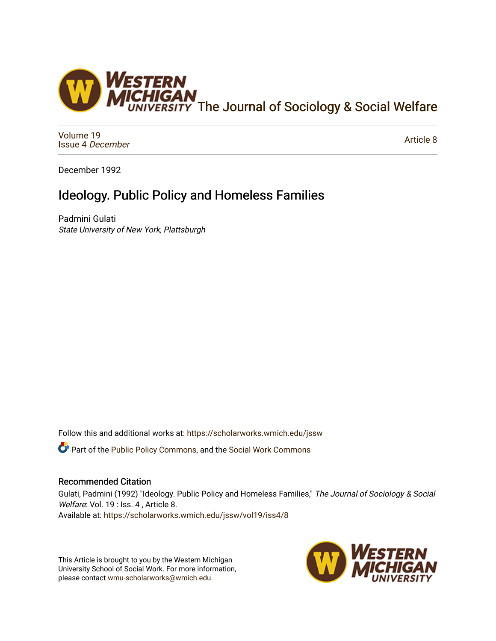

[Volume 19](https://scholarworks.wmich.edu/jssw/vol19) [Issue 4](https://scholarworks.wmich.edu/jssw/vol19/iss4) December

[Article 8](https://scholarworks.wmich.edu/jssw/vol19/iss4/8) 

December 1992

# Ideology. Public Policy and Homeless Families

Padmini Gulati State University of New York, Plattsburgh

Follow this and additional works at: [https://scholarworks.wmich.edu/jssw](https://scholarworks.wmich.edu/jssw?utm_source=scholarworks.wmich.edu%2Fjssw%2Fvol19%2Fiss4%2F8&utm_medium=PDF&utm_campaign=PDFCoverPages) 

**C** Part of the [Public Policy Commons,](http://network.bepress.com/hgg/discipline/400?utm_source=scholarworks.wmich.edu%2Fjssw%2Fvol19%2Fiss4%2F8&utm_medium=PDF&utm_campaign=PDFCoverPages) and the Social Work Commons

# Recommended Citation

Gulati, Padmini (1992) "Ideology. Public Policy and Homeless Families," The Journal of Sociology & Social Welfare: Vol. 19 : Iss. 4, Article 8. Available at: [https://scholarworks.wmich.edu/jssw/vol19/iss4/8](https://scholarworks.wmich.edu/jssw/vol19/iss4/8?utm_source=scholarworks.wmich.edu%2Fjssw%2Fvol19%2Fiss4%2F8&utm_medium=PDF&utm_campaign=PDFCoverPages)

This Article is brought to you by the Western Michigan University School of Social Work. For more information, please contact [wmu-scholarworks@wmich.edu.](mailto:wmu-scholarworks@wmich.edu)

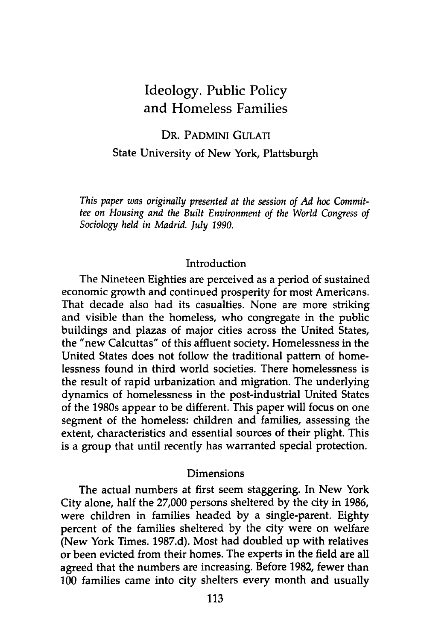# Ideology. Public Policy and Homeless Families

# DR. PADMINI GULATI State University of New York, Plattsburgh

*This paper was originally presented at the session of Ad hoc Committee on Housing and the Built Environment of the World Congress of Sociology held in Madrid. July 1990.*

#### Introduction

The Nineteen Eighties are perceived as a period of sustained economic growth and continued prosperity for most Americans. That decade also had its casualties. None are more striking and visible than the homeless, who congregate in the public buildings and plazas of major cities across the United States, the "new Calcuttas" of this affluent society. Homelessness in the United States does not follow the traditional pattern of homelessness found in third world societies. There homelessness is the result of rapid urbanization and migration. The underlying dynamics of homelessness in the post-industrial United States of the 1980s appear to be different. This paper will focus on one segment of the homeless: children and families, assessing the extent, characteristics and essential sources of their plight. This is a group that until recently has warranted special protection.

#### Dimensions

The actual numbers at first seem staggering. In New York City alone, half the 27,000 persons sheltered by the city in 1986, were children in families headed by a single-parent. Eighty percent of the families sheltered by the city were on welfare (New York Times. 1987.d). Most had doubled up with relatives or been evicted from their homes. The experts in the field are all agreed that the numbers are increasing. Before 1982, fewer than 100 families came into city shelters every month and usually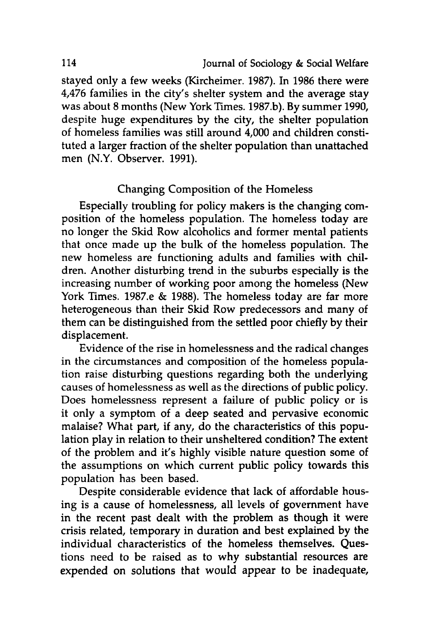stayed only a few weeks (Kircheimer. 1987). In **1986** there were 4,476 families in the city's shelter system and the average stay was about **8** months (New York Times. **1987.b). By** summer **1990,** despite huge expenditures **by** the city, the shelter population of homeless families was still around 4,000 and children constituted a larger fraction of the shelter population than unattached men (N.Y. Observer. **1991).**

### Changing Composition of the Homeless

Especially troubling for policy makers is the changing composition of the homeless population. The homeless today are no longer the Skid Row alcoholics and former mental patients that once made up the bulk of the homeless population. The new homeless are functioning adults and families with children. Another disturbing trend in the suburbs especially is the increasing number of working poor among the homeless (New York Times. 1987.e **& 1988).** The homeless today are far more heterogeneous than their Skid Row predecessors and many of them can be distinguished from the settled poor chiefly **by** their displacement.

Evidence of the rise in homelessness and the radical changes in the circumstances and composition of the homeless population raise disturbing questions regarding both the underlying causes of homelessness as well as the directions of public policy. Does homelessness represent a failure of public policy or is it only a symptom of a deep seated and pervasive economic malaise? What part, if any, do the characteristics of this population play in relation to their unsheltered condition? The extent of the problem and it's **highly** visible nature question some of the assumptions on which current public policy towards this population has been based.

Despite considerable evidence that lack of affordable housing is a cause of homelessness, all levels of government have in the recent past dealt with the problem as though it were crisis related, temporary in duration and best explained **by** the individual characteristics of the homeless themselves. Questions need to be raised as to why substantial resources are expended on solutions that would appear to be inadequate,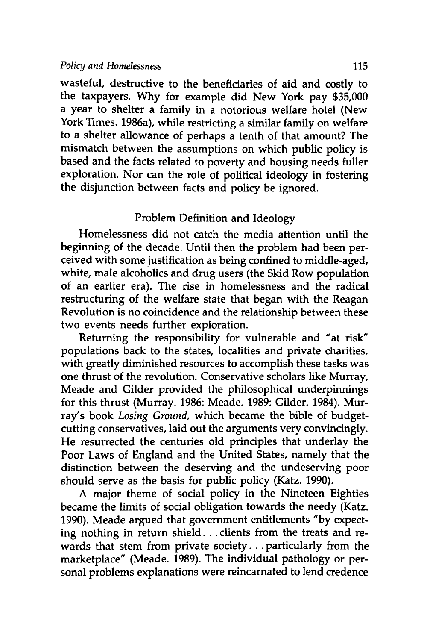#### *Policy and Homelessness* **115**

wasteful, destructive to the beneficiaries of aid and costly to the taxpayers. **Why** for example did New York pay **\$35,000** a year to shelter a family in a notorious welfare hotel (New York Times. 1986a), while restricting a similar family on welfare to a shelter allowance of perhaps a tenth of that amount? The mismatch between the assumptions on which public policy is based and the facts related to poverty and housing needs fuller exploration. Nor can the role of political ideology in fostering the disjunction between facts and policy be ignored.

### Problem Definition and Ideology

Homelessness did not catch the media attention until the beginning of the decade. Until then the problem had been perceived with some justification as being confined to middle-aged, white, male alcoholics and drug users (the Skid Row population of an earlier era). The rise in homelessness and the radical restructuring of the welfare state that began with the Reagan Revolution is no coincidence and the relationship between these two events needs further exploration.

Returning the responsibility for vulnerable and "at risk" populations back to the states, localities and private charities, with greatly diminished resources to accomplish these tasks was one thrust of the revolution. Conservative scholars like Murray, Meade and Gilder provided the philosophical underpinnings for this thrust (Murray. **1986:** Meade. **1989:** Gilder. 1984). Murray's book *Losing Ground,* which became the bible of budgetcutting conservatives, laid out the arguments very convincingly. He resurrected the centuries old principles that underlay the Poor Laws of England and the United States, namely that the distinction between the deserving and the undeserving poor should serve as the basis for public policy (Katz. **1990).**

**A** major theme of social policy in the Nineteen Eighties became the limits of social obligation towards the needy (Katz. **1990).** Meade argued that government entitlements **"by** expecting nothing in return shield **...** clients from the treats and rewards that stem from private society... particularly from the marketplace" (Meade. **1989).** The individual pathology or personal problems explanations were reincarnated to lend credence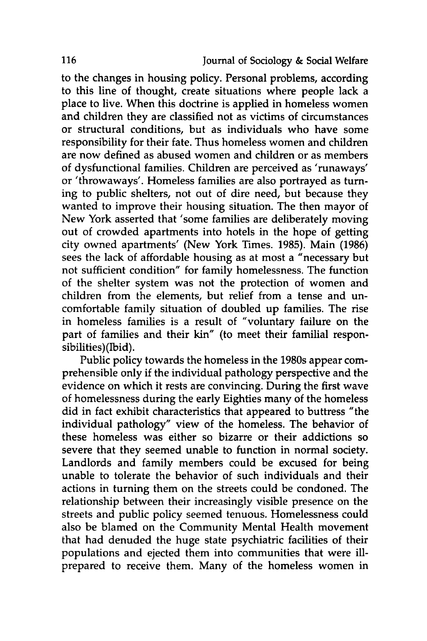to the changes in housing policy. Personal problems, according to this line of thought, create situations where people lack a place to live. When this doctrine is applied in homeless women and children they are classified not as victims of circumstances or structural conditions, but as individuals who have some responsibility for their fate. Thus homeless women and children are now defined as abused women and children or as members of dysfunctional families. Children are perceived as 'runaways' or 'throwaways'. Homeless families are also portrayed as turning to public shelters, not out of dire need, but because they wanted to improve their housing situation. The then mayor of New York asserted that 'some families are deliberately moving out of crowded apartments into hotels in the hope of getting city owned apartments' (New York Times. **1985).** Main **(1986)** sees the lack of affordable housing as at most a "necessary but not sufficient condition" for family homelessness. The function of the shelter system was not the protection of women and children from the elements, but relief from a tense and uncomfortable family situation of doubled up families. The rise in homeless families is a result of "voluntary failure on the part of families and their kin" (to meet their familial responsibilities)(Ibid).

Public policy towards the homeless in the 1980s appear comprehensible only if the individual pathology perspective and the evidence on which it rests are convincing. During the first wave of homelessness during the early Eighties many of the homeless did in fact exhibit characteristics that appeared to buttress "the individual pathology" view of the homeless. The behavior of these homeless was either so bizarre or their addictions so severe that they seemed unable to function in normal society. Landlords and family members could be excused for being unable to tolerate the behavior of such individuals and their actions in turning them on the streets could be condoned. The relationship between their increasingly visible presence on the streets and public policy seemed tenuous. Homelessness could also be blamed on the Community Mental Health movement that had denuded the huge state psychiatric facilities of their populations and ejected them into communities that were illprepared to receive them. Many of the homeless women in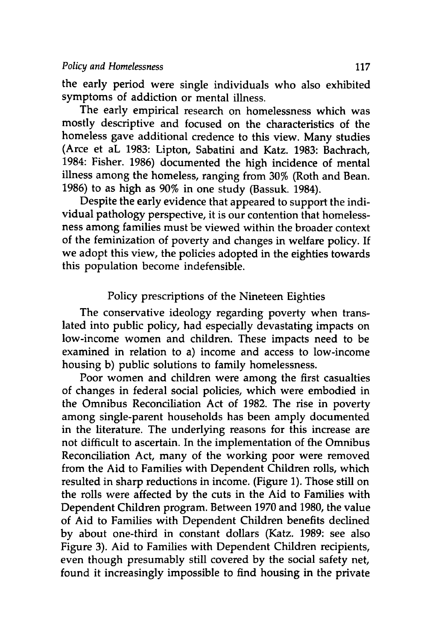the early period were single individuals who also exhibited symptoms of addiction or mental illness.

The early empirical research on homelessness which was mostly descriptive and focused on the characteristics of the homeless gave additional credence to this view. Many studies (Arce et aL **1983:** Lipton, Sabatini and Katz. **1983:** Bachrach, 1984: Fisher. **1986)** documented the high incidence of mental illness among the homeless, ranging from 30% (Roth and Bean. **1986)** to as high as **90%** in one study (Bassuk. 1984).

Despite the early evidence that appeared to support the individual pathology perspective, it is our contention that homelessness among families must be viewed within the broader context of the feminization of poverty and changes in welfare policy. If we adopt this view, the policies adopted in the eighties towards this population become indefensible.

# Policy prescriptions of the Nineteen Eighties

The conservative ideology regarding poverty when translated into public policy, had especially devastating impacts on low-income women and children. These impacts need to be examined in relation to a) income and access to low-income housing **b)** public solutions to family homelessness.

Poor women and children were among the first casualties of changes in federal social policies, which were embodied in the Omnibus Reconciliation Act of **1982.** The rise in poverty among single-parent households has been amply documented in the literature. The underlying reasons for this increase are not difficult to ascertain. In the implementation of fhe Omnibus Reconciliation Act, many of the working poor were removed from the Aid to Families with Dependent Children rolls, which resulted in sharp reductions in income. (Figure **1).** Those still on the rolls were affected **by** the cuts in the Aid to Families with Dependent Children program. Between **1970** and **1980,** the value of Aid to Families with Dependent Children benefits declined **by** about one-third in constant dollars (Katz. **1989:** see also Figure **3).** Aid to Families with Dependent Children recipients, even though presumably still covered **by** the social safety net, found it increasingly impossible to find housing in the private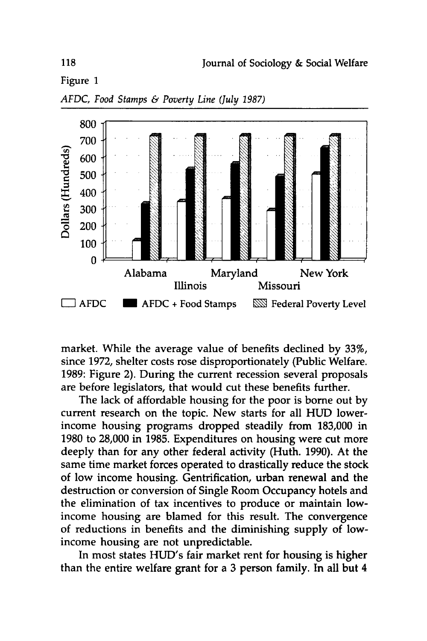Figure 1



*AFDC, Food Stamps & Poverty Line (July 1987)*

market. While the average value of benefits declined **by** 33%, since **1972,** shelter costs rose disproportionately (Public Welfare. **1989:** Figure 2). During the current recession several proposals are before legislators, that would cut these benefits further.

The lack of affordable housing for the poor is borne out **by** current research on the topic. New starts for all **HUD** lowerincome housing programs dropped steadily from **183,000** in **1980** to **28,000** in **1985.** Expenditures on housing were cut more deeply than for any other federal activity (Huth. **1990).** At the same time market forces operated to drastically reduce the stock of low income housing. Gentrification, urban renewal and the destruction or conversion of Single Room Occupancy hotels and the elimination of tax incentives to produce or maintain lowincome housing are blamed for this result. The convergence of reductions in benefits and the diminishing supply of lowincome housing are not unpredictable.

In most states HUD's fair market rent for housing is higher than the entire welfare grant for a **3** person family. In all but 4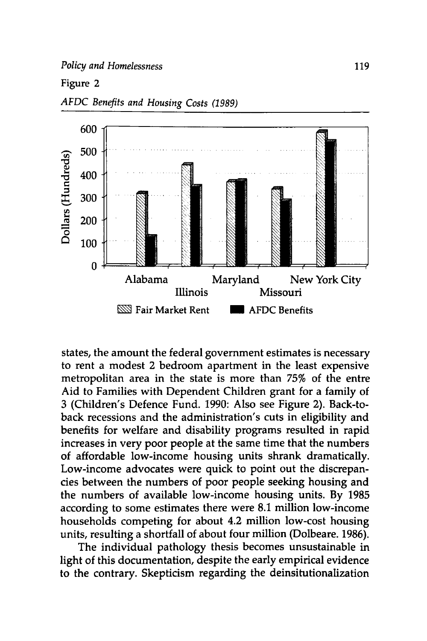#### Figure 2



*AFDC Benefits and Housing Costs (1989)*

states, the amount the federal government estimates is necessary to rent a modest 2 bedroom apartment in the least expensive metropolitan area in the state is more than **75%** of the entre Aid to Families with Dependent Children grant for a family of **3** (Children's Defence Fund. 1990: Also see Figure 2). Back-toback recessions and the administration's cuts in eligibility and benefits for welfare and disability programs resulted in rapid increases in very poor people at the same time that the numbers of affordable low-income housing units shrank dramatically. Low-income advocates were quick to point out the discrepancies between the numbers of poor people seeking housing and the numbers of available low-income housing units. By 1985 according to some estimates there were 8.1 million low-income households competing for about 4.2 million low-cost housing units, resulting a shortfall of about four million (Dolbeare. 1986).

The individual pathology thesis becomes unsustainable in light of this documentation, despite the early empirical evidence to the contrary. Skepticism regarding the deinsitutionalization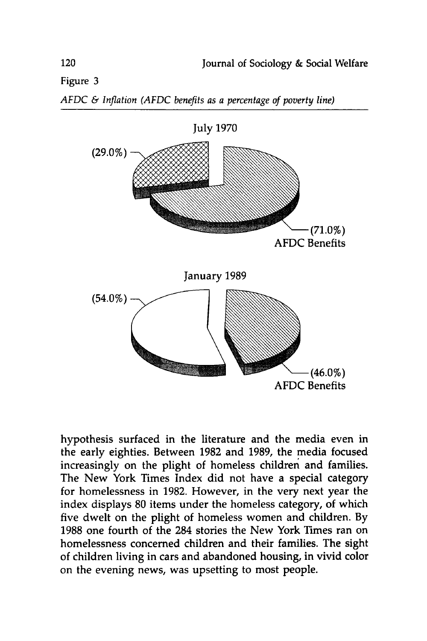Figure **3**





hypothesis surfaced in the literature and the media even in the early eighties. Between **1982** and **1989,** the media focused increasingly on the plight of homeless children and families. The New York Times Index did not have a special category for homelessness in **1982.** However, in the very next year the index displays **80** items under the homeless category, of which five dwelt on the plight of homeless women and children. **By 1988** one fourth of the 284 stories the New York Times ran on homelessness concerned children and their families. The sight of children living in cars and abandoned housing, in vivid color on the evening news, was upsetting to most people.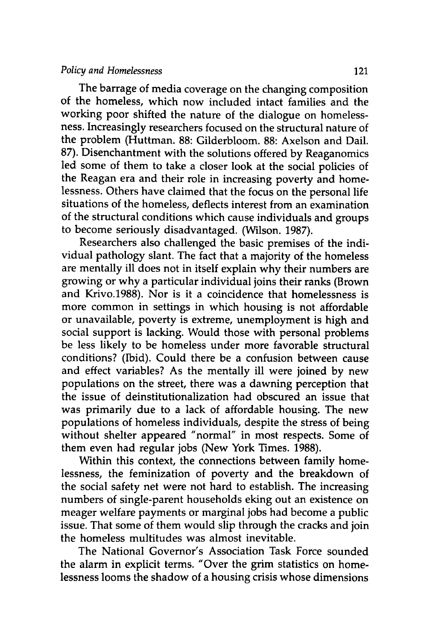#### *Policy and Homelessness* 121

The barrage of media coverage on the changing composition of the homeless, which now included intact families and the working poor shifted the nature of the dialogue on homelessness. Increasingly researchers focused on the structural nature of the problem (Huttman. **88:** Gilderbloom. **88:** Axelson and Dail. **87).** Disenchantment with the solutions offered **by** Reaganomics led some of them to take a closer look at the social policies of the Reagan era and their role in increasing poverty and homelessness. Others have claimed that the focus on the personal life situations of the homeless, deflects interest from an examination of the structural conditions which cause individuals and groups to become seriously disadvantaged. (Wilson. **1987).**

Researchers also challenged the basic premises of the individual pathology slant. The fact that a majority of the homeless are mentally ill does not in itself explain why their numbers are growing or why a particular individual joins their ranks (Brown and Krivo.1988). Nor is it a coincidence that homelessness is more common in settings in which housing is not affordable or unavailable, poverty is extreme, unemployment is high and social support is lacking. Would those with personal problems be less likely to be homeless under more favorable structural conditions? (Ibid). Could there be a confusion between cause and effect variables? As the mentally ill were joined **by** new populations on the street, there was a dawning perception that the issue of deinstitutionalization had obscured an issue that was primarily due to a lack of affordable housing. The new populations of homeless individuals, despite the stress of being without shelter appeared "normal" in most respects. Some of them even had regular jobs (New York Times. **1988).**

Within this context, the connections between family homelessness, the feminization of poverty and the breakdown of the social safety net were not hard to establish. The increasing numbers of single-parent households eking out an existence on meager welfare payments or marginal jobs had become a public issue. That some of them would slip through the cracks and join the homeless multitudes was almost inevitable.

The National Governor's Association Task Force sounded the alarm in explicit terms. "Over the grim statistics on homelessness looms the shadow of a housing crisis whose dimensions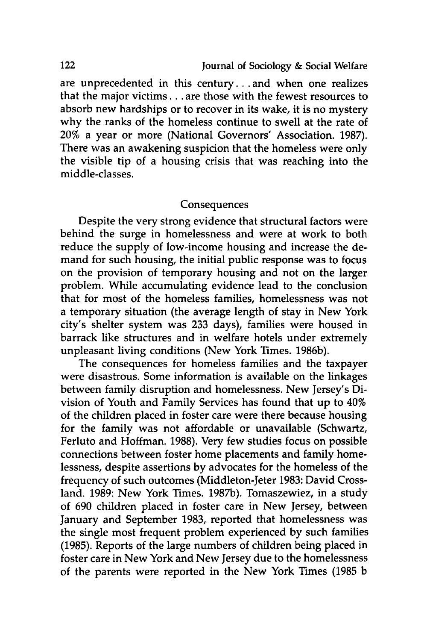are unprecedented in this century... and when one realizes that the major victims **...** are those with the fewest resources to absorb new hardships or to recover in its wake, it is no mystery why the ranks of the homeless continue to swell at the rate of 20% a year or more (National Governors' Association. **1987).** There was an awakening suspicion that the homeless were only the visible tip of a housing crisis that was reaching into the middle-classes.

### Consequences

Despite the very strong evidence that structural factors were behind the surge in homelessness and were at work to both reduce the supply of low-income housing and increase the demand for such housing, the initial public response was to focus on the provision of temporary housing and not on the larger problem. While accumulating evidence lead to the conclusion that for most of the homeless families, homelessness was not a temporary situation (the average length of stay in New York city's shelter system was **233** days), families were housed in barrack like structures and in welfare hotels under extremely unpleasant living conditions (New York Times. **1986b).**

The consequences for homeless families and the taxpayer were disastrous. Some information is available on the linkages between family disruption and homelessness. New Jersey's Division of Youth and Family Services has found that up to 40% of the children placed in foster care were there because housing for the family was not affordable or unavailable (Schwartz, Ferluto and Hoffman. **1988).** Very few studies focus on possible connections between foster home placements and family homelessness, despite assertions **by** advocates for the homeless of the frequency of such outcomes (Middleton-Jeter **1983:** David Crossland. **1989:** New York Times. **1987b).** Tomaszewiez, in a study of **690** children placed in foster care in New Jersey, between January and September **1983,** reported that homelessness was the single most frequent problem experienced **by** such families **(1985).** Reports of the large numbers of children being placed in foster care in New York and New Jersey due to the homelessness of the parents were reported in the New York Times **(1985 b**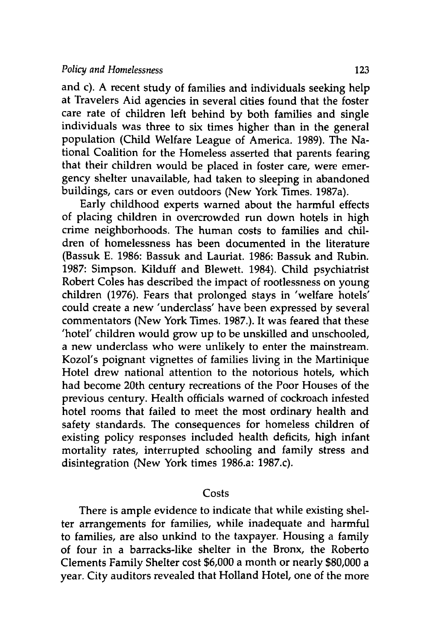and c). **A** recent study of families and individuals seeking help at Travelers Aid agencies in several cities found that the foster care rate of children left behind **by** both families and single individuals was three to six times higher than in the general population (Child Welfare League of America. **1989).** The National Coalition for the Homeless asserted that parents fearing that their children would be placed in foster care, were emergency shelter unavailable, had taken to sleeping in abandoned buildings, cars or even outdoors (New York Times. 1987a).

Early childhood experts warned about the harmful effects of placing children in overcrowded run down hotels in high crime neighborhoods. The human costs to families and children of homelessness has been documented in the literature (Bassuk **E. 1986:** Bassuk and Lauriat. **1986:** Bassuk and Rubin. **1987:** Simpson. Kilduff and Blewett. 1984). Child psychiatrist Robert Coles has described the impact of rootlessness on young children **(1976).** Fears that prolonged stays in 'welfare hotels' could create a new 'underclass' have been expressed **by** several commentators (New York Times. **1987.).** It was feared that these 'hotel' children would grow up to be unskilled and unschooled, a new underclass who were unlikely to enter the mainstream. Kozol's poignant vignettes of families living in the Martinique Hotel drew national attention to the notorious hotels, which had become 20th century recreations of the Poor Houses of the previous century. Health officials warned of cockroach infested hotel rooms that failed to meet the most ordinary health and safety standards. The consequences for homeless children of existing policy responses included health deficits, high infant mortality rates, interrupted schooling and family stress and disintegration (New York times 1986.a: 1987.c).

#### Costs

There is ample evidence to indicate that while existing shelter arrangements for families, while inadequate and harmful to families, are also unkind to the taxpayer. Housing a family of four in a barracks-like shelter in the Bronx, the Roberto Clements Family Shelter cost **\$6,000** a month or nearly **\$80,000** a year. City auditors revealed that Holland Hotel, one of the more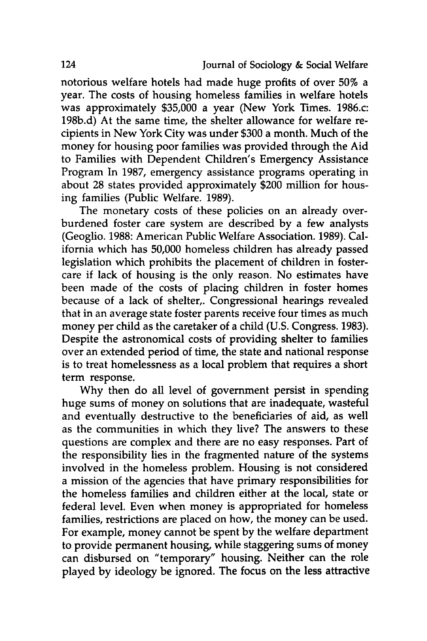notorious welfare hotels had made huge profits of over **50%** a year. The costs of housing homeless families in welfare hotels was approximately **\$35,000** a year (New York Times. 1986.c: **198b.d)** At the same time, the shelter allowance for welfare recipients in New York City was under **\$300** a month. Much of the money for housing poor families was provided through the Aid to Families with Dependent Children's Emergency Assistance Program In **1987,** emergency assistance programs operating in about **28** states provided approximately \$200 million for housing families (Public Welfare. **1989).**

The monetary costs of these policies on an already overburdened foster care system are described **by** a few analysts (Geoglio. **1988:** American Public Welfare Association. **1989).** California which has **50,000** homeless children has already passed legislation which prohibits the placement of children in fostercare if lack of housing is the only reason. No estimates have been made of the costs of placing children in foster homes because of a lack of shelter,. Congressional hearings revealed that in an average state foster parents receive four times as much money per child as the caretaker of a child **(U.S.** Congress. **1983).** Despite the astronomical costs of providing shelter to families over an extended period of time, the state and national response is to treat homelessness as a local problem that requires a short term response.

**Why** then do all level of government persist in spending huge sums of money on solutions that are inadequate, wasteful and eventually destructive to the beneficiaries of aid, as well as the communities in which they live? The answers to these questions are complex and there are no easy responses. Part of the responsibility lies in the fragmented nature of the systems involved in the homeless problem. Housing is not considered a mission of the agencies that have primary responsibilities for the homeless families and children either at the local, state or federal level. Even when money is appropriated for homeless families, restrictions are placed on how, the money can be used. For example, money cannot be spent **by** the welfare department to provide permanent housing, while staggering sums of money can disbursed on "temporary" housing. Neither can the role played **by** ideology be ignored. The focus on the less attractive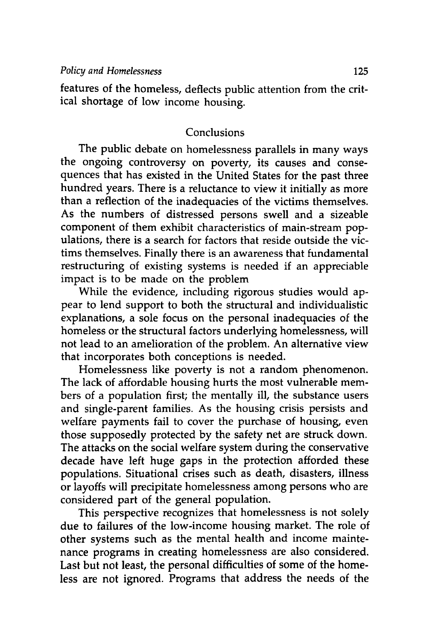features of the homeless, deflects public attention from the critical shortage of low income housing.

# Conclusions

The public debate on homelessness parallels in many ways the ongoing controversy on poverty, its causes and consequences that has existed in the United States for the past three hundred years. There is a reluctance to view it initially as more than a reflection of the inadequacies of the victims themselves. As the numbers of distressed persons swell and a sizeable component of them exhibit characteristics of main-stream populations, there is a search for factors that reside outside the victims themselves. Finally there is an awareness that fundamental restructuring of existing systems is needed if an appreciable impact is to be made on the problem

While the evidence, including rigorous studies would appear to lend support to both the structural and individualistic explanations, a sole focus on the personal inadequacies of the homeless or the structural factors underlying homelessness, will not lead to an amelioration of the problem. An alternative view that incorporates both conceptions is needed.

Homelessness like poverty is not a random phenomenon. The lack of affordable housing hurts the most vulnerable members of a population first; the mentally ill, the substance users and single-parent families. As the housing crisis persists and welfare payments fail to cover the purchase of housing, even those supposedly protected **by** the safety net are struck down. The attacks on the social welfare system during the conservative decade have left huge gaps in the protection afforded these populations. Situational crises such as death, disasters, illness or layoffs will precipitate homelessness among persons who are considered part of the general population.

This perspective recognizes that homelessness is not solely due to failures of the low-income housing market. The role of other systems such as the mental health and income maintenance programs in creating homelessness are also considered. Last but not least, the personal difficulties of some of the homeless are not ignored. Programs that address the needs of the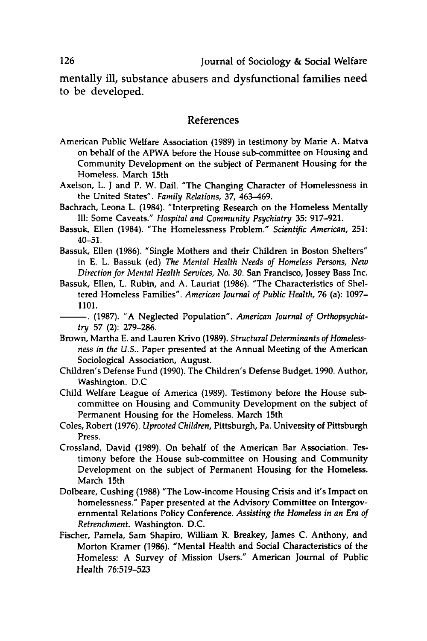mentally ill, substance abusers and dysfunctional families need to be developed.

#### References

- American Public Welfare Association **(1989)** in testimony **by** Marie **A.** Matva on behalf of the APWA before the House sub-committee on Housing and Community Development on the subject of Permanent Housing for the Homeless. March 15th
- Axelson, L. **J** and P. W. Dail. "The Changing Character of Homelessness in the United States". *Family Relations,* **37,** 463-469.
- Bachrach, Leona L. (1984). "Interpreting Research on the Homeless Mentally Ill: Some Caveats." *Hospital and Community Psychiatry* **35: 917-921.**
- Bassuk, Ellen (1984). "The Homelessness Problem." *Scientific American,* **251:** 40-51.
- Bassuk, Ellen **(1986).** "Single Mothers and their Children in Boston Shelters" in **E.** L. Bassuk (ed) *The Mental Health Needs of Homeless Persons, New Direction for Mental Health Services, No. 30.* San Francisco, Jossey Bass Inc.
- Bassuk, Ellen, L. Rubin, and **A.** Lauriat **(1986).** "The Characteristics of Sheltered Homeless Families". *American Journal of Public Health,* **76** (a): **1097- 1101.**
	- **-. (1987).** "A Neglected Population". *American Journal of Orthopsychiatry* **57** (2): **279-286.**
- Brown, Martha **E.** and Lauren Krivo **(1989).** *Structural Determinants of Homelessness in the U.S..* Paper presented at the Annual Meeting of the American Sociological Association, August.
- Children's Defense Fund **(1990).** The Children's Defense Budget. **1990.** Author, Washington. **D.C**
- Child Welfare League of America **(1989).** Testimony before the House subcommittee on Housing and Community Development on the subject of Permanent Housing for the Homeless. March 15th
- Coles, Robert **(1976).** *Uprooted Children,* Pittsburgh, Pa. University of Pittsburgh Press.
- Crossland, David **(1989).** On behalf of the American Bar Association. Testimony before the House sub-committee on Housing and Community Development on the subject of Permanent Housing for the Homeless. March 15th
- Dolbeare, Cushing **(1988)** "The Low-income Housing Crisis and it's Impact on homelessness." Paper presented at the Advisory Committee on Intergovernmental Relations Policy Conference. *Assisting the Homeless in an Era of Retrenchment.* Washington. **D.C.**
- Fischer, Pamela, Sam Shapiro, William R. Breakey, James **C.** Anthony, and Morton Kramer **(1986).** "Mental Health and Social Characteristics of the Homeless: A Survey of Mission Users." American Journal of Public Health **76:519-523**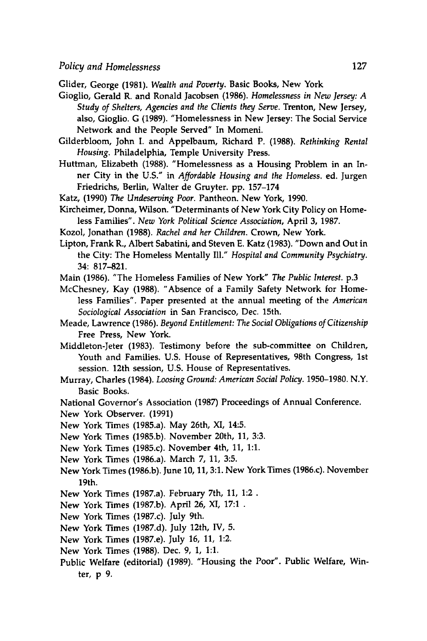Glider, George **(1981).** *Wealth and Poverty.* Basic Books, New York

- Gioglio, Gerald R. and Ronald Jacobsen **(1986).** *Homelessness in New Jersey: A Study of Shelters, Agencies and the Clients they Serve.* Trenton, New Jersey, also, Gioglio. **G (1989).** "Homelessness in New Jersey: The Social Service Network and the People Served" In Momeni.
- Gilderbloom, John **I.** and Appelbaum, Richard P. **(1988).** *Rethinking Rental Housing.* Philadelphia, Temple University Press.
- Huttman, Elizabeth **(1988).** "Homelessness as a Housing Problem in an Inner City in the **U.S."** in *Affordable Housing and the Homeless.* ed. Jurgen Friedrichs, Berlin, Walter de Gruyter. **pp. 157-174**
- Katz, **(1990)** *The Undeserving Poor.* Pantheon. New York, **1990.**
- Kircheimer, Donna, Wilson. "Determinants of New York City Policy on Homeless Families". *New York Political Science Association,* April **3, 1987.**
- Kozol, Jonathan **(1988).** *Rachel and her Children.* Crown, New York.
- Lipton, Frank R., Albert Sabatini, and Steven **E.** Katz **(1983).** "Down and Out in the City: The Homeless Mentally **Ill."** *Hospital and Community Psychiatry.* 34: **817-821.**
- Main **(1986).** "The Homeless Families of New York" *The Public Interest.* **p. <sup>3</sup>**
- McChesney, Kay **(1988).** "Absence of a Family Safety Network for Homeless Families". Paper presented at the annual meeting of the *American Sociological Association* in San Francisco, Dec. 15th.
- Meade, Lawrence **(1986).** *Beyond Entitlement: The Social Obligations of Citizenship* Free Press, New York.
- Middleton-Jeter **(1983).** Testimony before the sub-committee on Children, Youth and Families. **U.S.** House of Representatives, 98th Congress, 1st session. 12th session, **U.S.** House of Representatives.
- Murray, Charles (1984). *Loosing Ground: American Social Policy.* **1950-1980.** N.Y. Basic Books.
- National Governor's Association **(1987)** Proceedings of Annual Conference.
- New York Observer. **(1991)**
- New York Times (1985.a). May 26th, XI, 14:5.
- New York Times **(1985.b).** November 20th, **11, 3:3.**
- New York Times (1985.c). November 4th, **11, 1:1.**
- New York Times (1986.a). March **7, 11, 3:5.**
- New York Times **(1986.b).** June **10, 11, 3:1.** New York Times (1986.c). November 19th.
- New York Times (1987.a). February 7th, **11,** 1:2
- New York Times **(1987.b).** April **26,** XI, **17:1 .**
- New York Times (1987.c). July 9th.
- New York Times **(1987.d). July** 12th, IV, **5.**
- New York Times (1987.e). July **16, 11,** 1:2.
- New York Times **(1988).** Dec. **9, 1, 1:1.**
- Public Welfare (editorial) **(1989).** "Housing the Poor". Public Welfare, Winter, **p 9.**